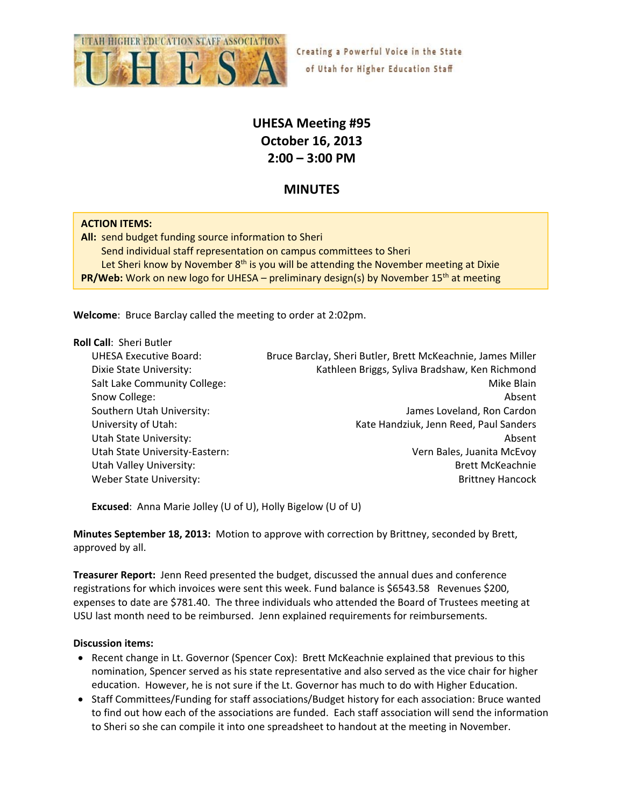

# **UHESA Meeting #95 October 16, 2013 2:00 – 3:00 PM**

## **MINUTES**

#### **ACTION ITEMS:**

All: send budget funding source information to Sheri Send individual staff representation on campus committees to Sheri Let Sheri know by November  $8<sup>th</sup>$  is you will be attending the November meeting at Dixie **PR/Web:** Work on new logo for UHESA – preliminary design(s) by November 15<sup>th</sup> at meeting

**Welcome**: Bruce Barclay called the meeting to order at 2:02pm.

#### **Roll Call**: Sheri Butler

UHESA Executive Board: Bruce Barclay, Sheri Butler, Brett McKeachnie, James Miller Dixie State University: Kathleen Briggs, Syliva Bradshaw, Ken Richmond Salt Lake Community College: Mike Blain Snow College: **Absent Absent Absent Absent Absent Absent Absent Absent** Southern Utah University: James Loveland, Ron Cardon University of Utah: Case Controller Mate Handziuk, Jenn Reed, Paul Sanders Utah State University: **Absent** Communication of the University: **Absent** Utah State University‐Eastern: Vern Bales, Juanita McEvoy Utah Valley University: **Brett McKeachnie Brett McKeachnie** Weber State University: The Communication of the Communication of the Brittney Hancock

**Excused**: Anna Marie Jolley (U of U), Holly Bigelow (U of U)

**Minutes September 18, 2013:** Motion to approve with correction by Brittney, seconded by Brett, approved by all.

**Treasurer Report:** Jenn Reed presented the budget, discussed the annual dues and conference registrations for which invoices were sent this week. Fund balance is \$6543.58 Revenues \$200, expenses to date are \$781.40. The three individuals who attended the Board of Trustees meeting at USU last month need to be reimbursed. Jenn explained requirements for reimbursements.

#### **Discussion items:**

- Recent change in Lt. Governor (Spencer Cox): Brett McKeachnie explained that previous to this nomination, Spencer served as his state representative and also served as the vice chair for higher education. However, he is not sure if the Lt. Governor has much to do with Higher Education.
- Staff Committees/Funding for staff associations/Budget history for each association: Bruce wanted to find out how each of the associations are funded. Each staff association will send the information to Sheri so she can compile it into one spreadsheet to handout at the meeting in November.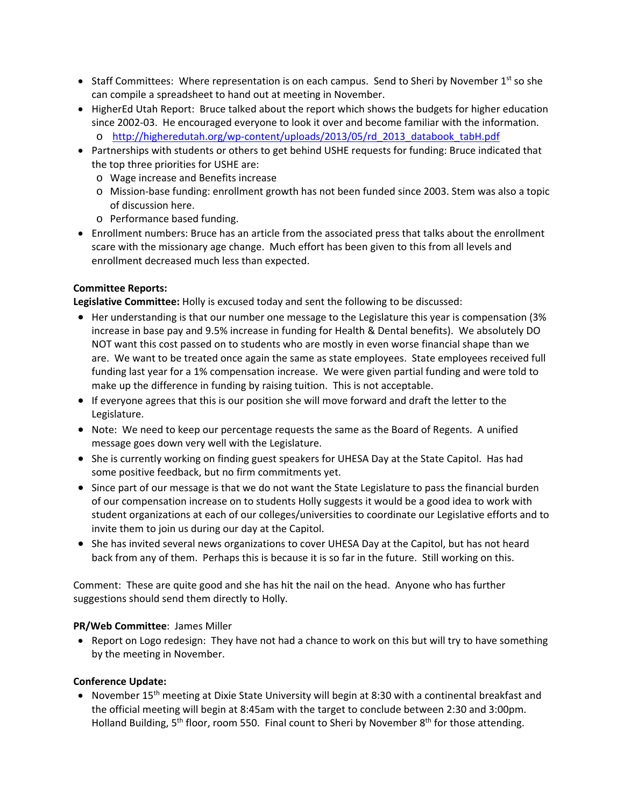- Staff Committees: Where representation is on each campus. Send to Sheri by November  $1<sup>st</sup>$  so she can compile a spreadsheet to hand out at meeting in November.
- HigherEd Utah Report: Bruce talked about the report which shows the budgets for higher education since 2002‐03. He encouraged everyone to look it over and become familiar with the information. o http://higheredutah.org/wp‐content/uploads/2013/05/rd\_2013\_databook\_tabH.pdf
- Partnerships with students or others to get behind USHE requests for funding: Bruce indicated that the top three priorities for USHE are:
	- o Wage increase and Benefits increase
	- o Mission‐base funding: enrollment growth has not been funded since 2003. Stem was also a topic of discussion here.
	- o Performance based funding.
- Enrollment numbers: Bruce has an article from the associated press that talks about the enrollment scare with the missionary age change. Much effort has been given to this from all levels and enrollment decreased much less than expected.

#### **Committee Reports:**

**Legislative Committee:** Holly is excused today and sent the following to be discussed:

- Her understanding is that our number one message to the Legislature this year is compensation (3%) increase in base pay and 9.5% increase in funding for Health & Dental benefits). We absolutely DO NOT want this cost passed on to students who are mostly in even worse financial shape than we are. We want to be treated once again the same as state employees. State employees received full funding last year for a 1% compensation increase. We were given partial funding and were told to make up the difference in funding by raising tuition. This is not acceptable.
- If everyone agrees that this is our position she will move forward and draft the letter to the Legislature.
- Note: We need to keep our percentage requests the same as the Board of Regents. A unified message goes down very well with the Legislature.
- She is currently working on finding guest speakers for UHESA Day at the State Capitol. Has had some positive feedback, but no firm commitments yet.
- Since part of our message is that we do not want the State Legislature to pass the financial burden of our compensation increase on to students Holly suggests it would be a good idea to work with student organizations at each of our colleges/universities to coordinate our Legislative efforts and to invite them to join us during our day at the Capitol.
- She has invited several news organizations to cover UHESA Day at the Capitol, but has not heard back from any of them. Perhaps this is because it is so far in the future. Still working on this.

Comment: These are quite good and she has hit the nail on the head. Anyone who has further suggestions should send them directly to Holly.

#### **PR/Web Committee**: James Miller

• Report on Logo redesign: They have not had a chance to work on this but will try to have something by the meeting in November.

### **Conference Update:**

• November 15<sup>th</sup> meeting at Dixie State University will begin at 8:30 with a continental breakfast and the official meeting will begin at 8:45am with the target to conclude between 2:30 and 3:00pm. Holland Building,  $5<sup>th</sup>$  floor, room 550. Final count to Sheri by November  $8<sup>th</sup>$  for those attending.